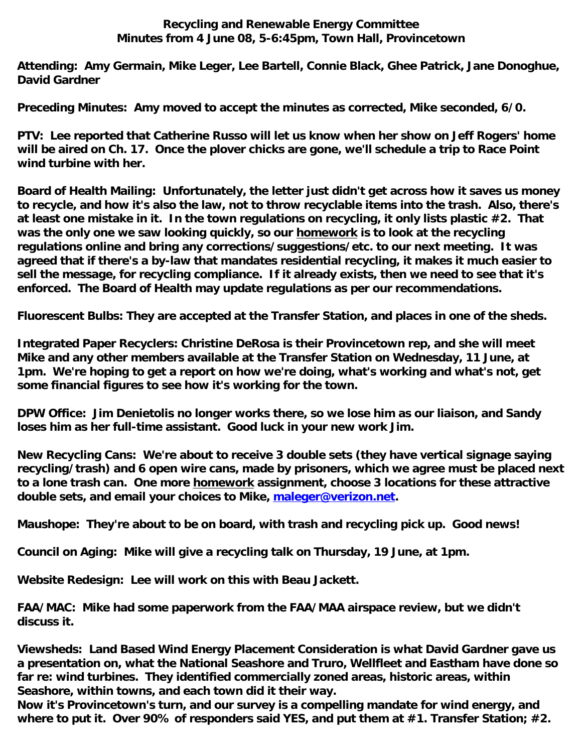## **Recycling and Renewable Energy Committee Minutes from 4 June 08, 5-6:45pm, Town Hall, Provincetown**

**Attending: Amy Germain, Mike Leger, Lee Bartell, Connie Black, Ghee Patrick, Jane Donoghue, David Gardner**

**Preceding Minutes: Amy moved to accept the minutes as corrected, Mike seconded, 6/0.**

**PTV: Lee reported that Catherine Russo will let us know when her show on Jeff Rogers' home will be aired on Ch. 17. Once the plover chicks are gone, we'll schedule a trip to Race Point wind turbine with her.**

**Board of Health Mailing: Unfortunately, the letter just didn't get across how it saves us money to recycle, and how it's also the law, not to throw recyclable items into the trash. Also, there's at least one mistake in it. In the town regulations on recycling, it only lists plastic #2. That was the only one we saw looking quickly, so our homework is to look at the recycling regulations online and bring any corrections/suggestions/etc. to our next meeting. It was agreed that if there's a by-law that mandates residential recycling, it makes it much easier to sell the message, for recycling compliance. If it already exists, then we need to see that it's enforced. The Board of Health may update regulations as per our recommendations.**

**Fluorescent Bulbs: They are accepted at the Transfer Station, and places in one of the sheds.** 

**Integrated Paper Recyclers: Christine DeRosa is their Provincetown rep, and she will meet Mike and any other members available at the Transfer Station on Wednesday, 11 June, at 1pm. We're hoping to get a report on how we're doing, what's working and what's not, get some financial figures to see how it's working for the town.**

**DPW Office: Jim Denietolis no longer works there, so we lose him as our liaison, and Sandy loses him as her full-time assistant. Good luck in your new work Jim.**

**New Recycling Cans: We're about to receive 3 double sets (they have vertical signage saying recycling/trash) and 6 open wire cans, made by prisoners, which we agree must be placed next to a lone trash can. One more homework assignment, choose 3 locations for these attractive double sets, and email your choices to Mike, maleger@verizon.net.** 

**Maushope: They're about to be on board, with trash and recycling pick up. Good news!**

**Council on Aging: Mike will give a recycling talk on Thursday, 19 June, at 1pm.**

**Website Redesign: Lee will work on this with Beau Jackett.**

**FAA/MAC: Mike had some paperwork from the FAA/MAA airspace review, but we didn't discuss it.**

**Viewsheds: Land Based Wind Energy Placement Consideration is what David Gardner gave us a presentation on, what the National Seashore and Truro, Wellfleet and Eastham have done so far re: wind turbines. They identified commercially zoned areas, historic areas, within Seashore, within towns, and each town did it their way.** 

**Now it's Provincetown's turn, and our survey is a compelling mandate for wind energy, and where to put it. Over 90% of responders said YES, and put them at #1. Transfer Station; #2.**